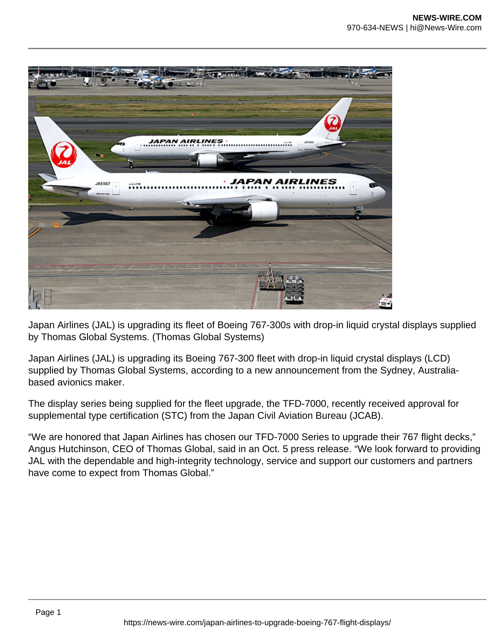

Japan Airlines (JAL) is upgrading its fleet of Boeing 767-300s with drop-in liquid crystal displays supplied by Thomas Global Systems. (Thomas Global Systems)

Japan Airlines (JAL) is upgrading its Boeing 767-300 fleet with drop-in liquid crystal displays (LCD) supplied by Thomas Global Systems, according to a new announcement from the Sydney, Australiabased avionics maker.

The display series being supplied for the fleet upgrade, the TFD-7000, recently received approval for supplemental type certification (STC) from the Japan Civil Aviation Bureau (JCAB).

"We are honored that Japan Airlines has chosen our TFD-7000 Series to upgrade their 767 flight decks," Angus Hutchinson, CEO of Thomas Global, said in an Oct. 5 press release. "We look forward to providing JAL with the dependable and high-integrity technology, service and support our customers and partners have come to expect from Thomas Global."